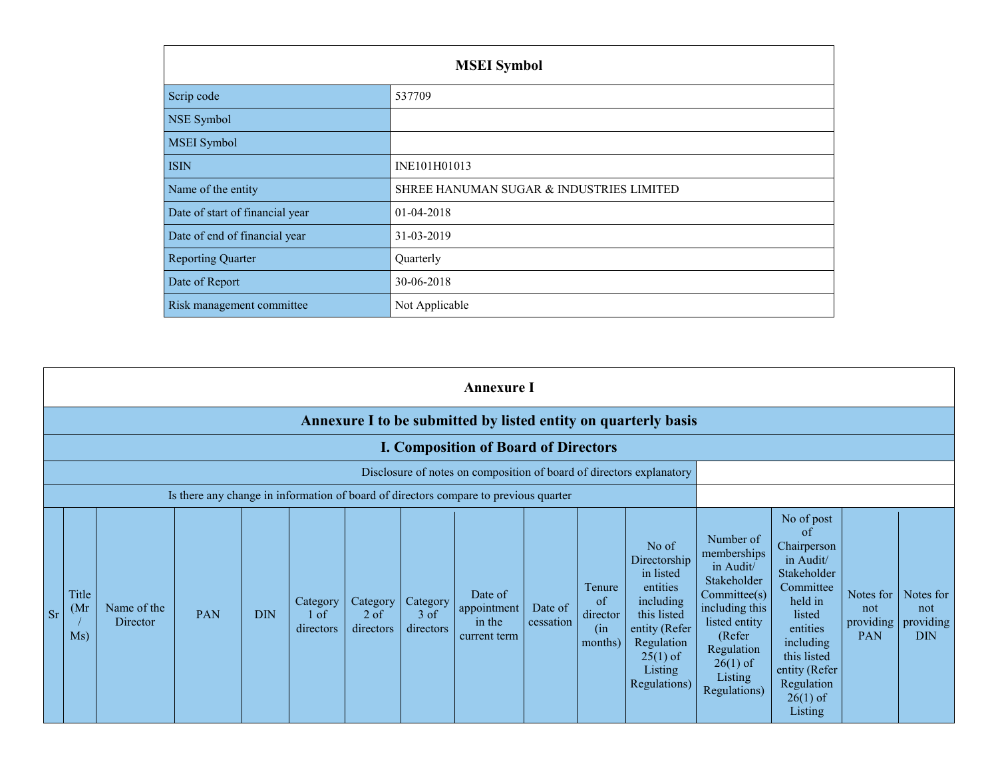|                                 | <b>MSEI</b> Symbol                       |
|---------------------------------|------------------------------------------|
| Scrip code                      | 537709                                   |
| NSE Symbol                      |                                          |
| <b>MSEI Symbol</b>              |                                          |
| <b>ISIN</b>                     | INE101H01013                             |
| Name of the entity              | SHREE HANUMAN SUGAR & INDUSTRIES LIMITED |
| Date of start of financial year | 01-04-2018                               |
| Date of end of financial year   | 31-03-2019                               |
| <b>Reporting Quarter</b>        | Quarterly                                |
| Date of Report                  | 30-06-2018                               |
| Risk management committee       | Not Applicable                           |

|           |                      |                         |            |            |                                 |                                 |                                 | <b>Annexure I</b>                                                                    |                      |                                            |                                                                                                                                                    |                                                                                                                                                                         |                                                                                                                                                                                               |                                      |                                             |
|-----------|----------------------|-------------------------|------------|------------|---------------------------------|---------------------------------|---------------------------------|--------------------------------------------------------------------------------------|----------------------|--------------------------------------------|----------------------------------------------------------------------------------------------------------------------------------------------------|-------------------------------------------------------------------------------------------------------------------------------------------------------------------------|-----------------------------------------------------------------------------------------------------------------------------------------------------------------------------------------------|--------------------------------------|---------------------------------------------|
|           |                      |                         |            |            |                                 |                                 |                                 |                                                                                      |                      |                                            | Annexure I to be submitted by listed entity on quarterly basis                                                                                     |                                                                                                                                                                         |                                                                                                                                                                                               |                                      |                                             |
|           |                      |                         |            |            |                                 |                                 |                                 | <b>I. Composition of Board of Directors</b>                                          |                      |                                            |                                                                                                                                                    |                                                                                                                                                                         |                                                                                                                                                                                               |                                      |                                             |
|           |                      |                         |            |            |                                 |                                 |                                 |                                                                                      |                      |                                            | Disclosure of notes on composition of board of directors explanatory                                                                               |                                                                                                                                                                         |                                                                                                                                                                                               |                                      |                                             |
|           |                      |                         |            |            |                                 |                                 |                                 | Is there any change in information of board of directors compare to previous quarter |                      |                                            |                                                                                                                                                    |                                                                                                                                                                         |                                                                                                                                                                                               |                                      |                                             |
| <b>Sr</b> | Title<br>(Mr)<br>Ms) | Name of the<br>Director | <b>PAN</b> | <b>DIN</b> | Category<br>$1$ of<br>directors | Category<br>$2$ of<br>directors | Category<br>$3$ of<br>directors | Date of<br>appointment<br>in the<br>current term                                     | Date of<br>cessation | Tenure<br>of<br>director<br>(in<br>months) | No of<br>Directorship<br>in listed<br>entities<br>including<br>this listed<br>entity (Refer<br>Regulation<br>$25(1)$ of<br>Listing<br>Regulations) | Number of<br>memberships<br>in Audit/<br>Stakeholder<br>Commitee(s)<br>including this<br>listed entity<br>(Refer<br>Regulation<br>$26(1)$ of<br>Listing<br>Regulations) | No of post<br>of<br>Chairperson<br>in Audit/<br>Stakeholder<br>Committee<br>held in<br>listed<br>entities<br>including<br>this listed<br>entity (Refer<br>Regulation<br>$26(1)$ of<br>Listing | Notes for<br>not<br>providing<br>PAN | Notes for<br>not<br>providing<br><b>DIN</b> |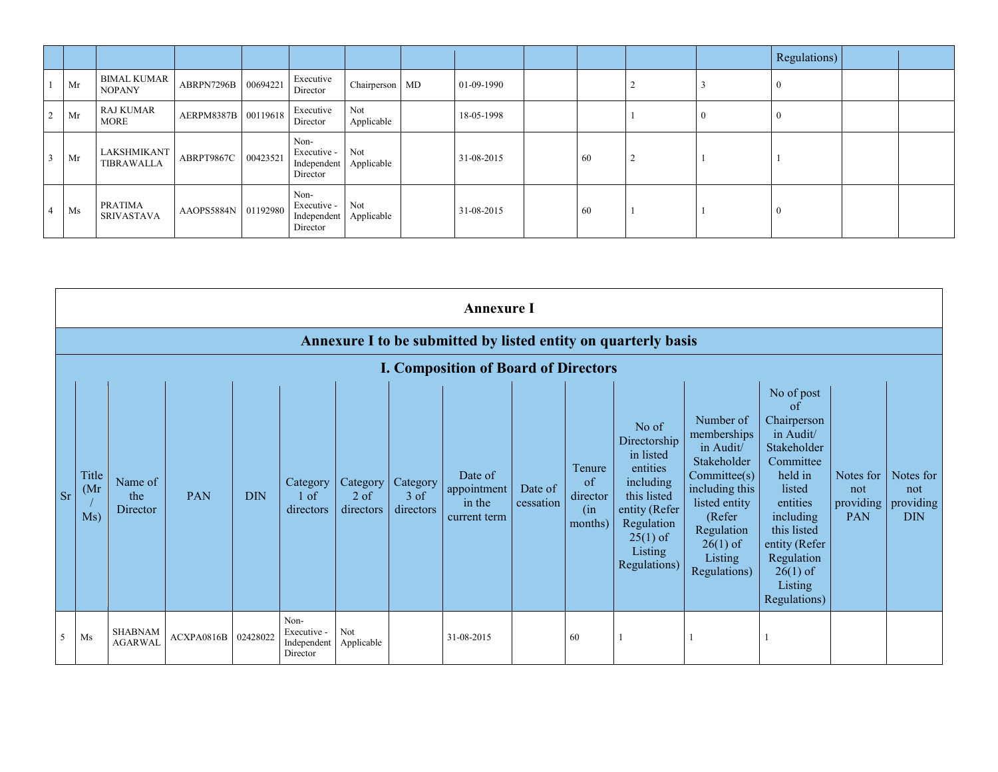|                |    |                                     |                     |          |                                                           |                   |            |                 |  | Regulations) |  |
|----------------|----|-------------------------------------|---------------------|----------|-----------------------------------------------------------|-------------------|------------|-----------------|--|--------------|--|
|                | Mr | <b>BIMAL KUMAR</b><br><b>NOPANY</b> | ABRPN7296B          | 00694221 | Executive<br>Director                                     | Chairperson MD    | 01-09-1990 |                 |  |              |  |
| 2              | Mr | <b>RAJ KUMAR</b><br><b>MORE</b>     | AERPM8387B 00119618 |          | Executive<br>Director                                     | Not<br>Applicable | 18-05-1998 |                 |  |              |  |
| $\overline{3}$ | Mr | LAKSHMIKANT<br>TIBRAWALLA           | ABRPT9867C          | 00423521 | Non-<br>Executive -<br>Independent Applicable<br>Director | Not               | 31-08-2015 | $\overline{60}$ |  |              |  |
| $\overline{4}$ | Ms | PRATIMA<br><b>SRIVASTAVA</b>        | AAOPS5884N 01192980 |          | Non-<br>Executive -<br>Independent Applicable<br>Director | Not               | 31-08-2015 | -60             |  |              |  |

|           | <b>Annexure I</b>    |                                  |                     |            |                                                |                                 |                                 |                                                  |                      |                                                       |                                                                                                                                                    |                                                                                                                                                                         |                                                                                                                                                                                                               |                         |                                                               |
|-----------|----------------------|----------------------------------|---------------------|------------|------------------------------------------------|---------------------------------|---------------------------------|--------------------------------------------------|----------------------|-------------------------------------------------------|----------------------------------------------------------------------------------------------------------------------------------------------------|-------------------------------------------------------------------------------------------------------------------------------------------------------------------------|---------------------------------------------------------------------------------------------------------------------------------------------------------------------------------------------------------------|-------------------------|---------------------------------------------------------------|
|           |                      |                                  |                     |            |                                                |                                 |                                 |                                                  |                      |                                                       | Annexure I to be submitted by listed entity on quarterly basis                                                                                     |                                                                                                                                                                         |                                                                                                                                                                                                               |                         |                                                               |
|           |                      |                                  |                     |            |                                                |                                 |                                 | <b>I. Composition of Board of Directors</b>      |                      |                                                       |                                                                                                                                                    |                                                                                                                                                                         |                                                                                                                                                                                                               |                         |                                                               |
| <b>Sr</b> | Title<br>(Mr)<br>Ms) | Name of<br>the<br>Director       | PAN                 | <b>DIN</b> | Category<br>1 of<br>directors                  | Category<br>$2$ of<br>directors | Category<br>$3$ of<br>directors | Date of<br>appointment<br>in the<br>current term | Date of<br>cessation | Tenure<br><sub>of</sub><br>director<br>(in<br>months) | No of<br>Directorship<br>in listed<br>entities<br>including<br>this listed<br>entity (Refer<br>Regulation<br>$25(1)$ of<br>Listing<br>Regulations) | Number of<br>memberships<br>in Audit/<br>Stakeholder<br>Commitee(s)<br>including this<br>listed entity<br>(Refer<br>Regulation<br>$26(1)$ of<br>Listing<br>Regulations) | No of post<br>of<br>Chairperson<br>in Audit/<br>Stakeholder<br>Committee<br>held in<br>listed<br>entities<br>including<br>this listed<br>entity (Refer<br>Regulation<br>$26(1)$ of<br>Listing<br>Regulations) | Notes for<br>not<br>PAN | Notes for<br>not<br>providing $\vert$ providing<br><b>DIN</b> |
| 5         | Ms                   | <b>SHABNAM</b><br><b>AGARWAL</b> | ACXPA0816B 02428022 |            | Non-<br>Executive -<br>Independent<br>Director | Not<br>Applicable               |                                 | 31-08-2015                                       |                      | 60                                                    |                                                                                                                                                    |                                                                                                                                                                         |                                                                                                                                                                                                               |                         |                                                               |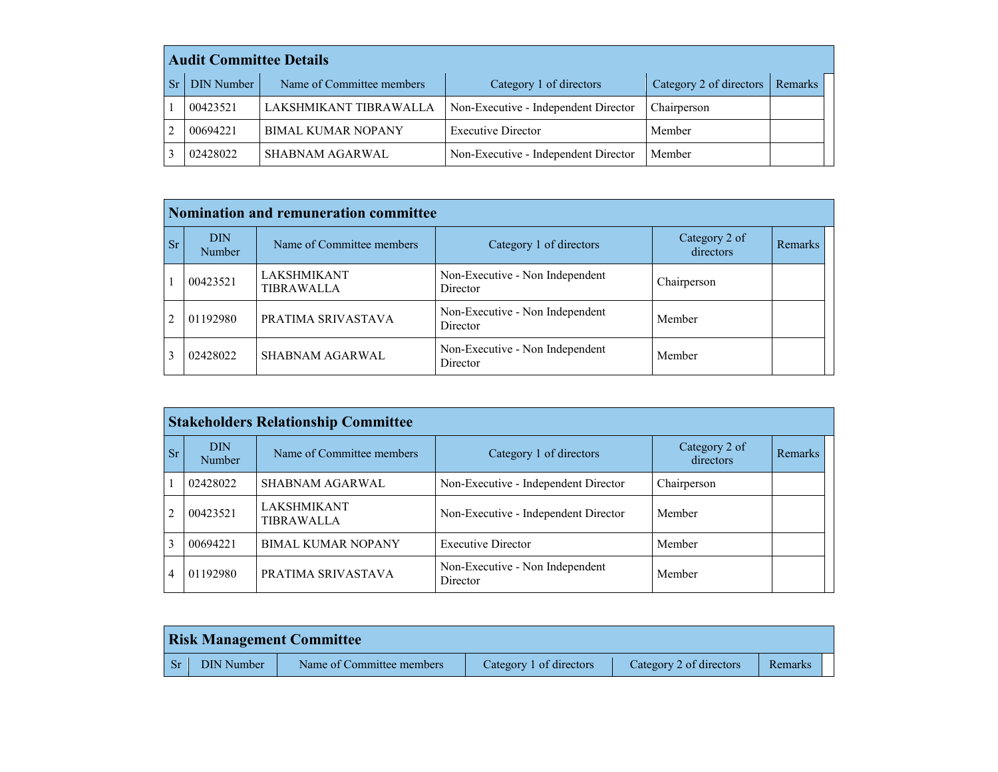| <b>Audit Committee Details</b> |                           |                                      |                         |         |  |  |  |  |  |  |
|--------------------------------|---------------------------|--------------------------------------|-------------------------|---------|--|--|--|--|--|--|
| <b>DIN Number</b>              | Name of Committee members | Category 1 of directors              | Category 2 of directors | Remarks |  |  |  |  |  |  |
| 00423521                       | LAKSHMIKANT TIBRAWALLA    | Non-Executive - Independent Director | Chairperson             |         |  |  |  |  |  |  |
| 00694221                       | <b>BIMAL KUMAR NOPANY</b> | <b>Executive Director</b>            | Member                  |         |  |  |  |  |  |  |
| 02428022                       | <b>SHABNAM AGARWAL</b>    | Non-Executive - Independent Director | Member                  |         |  |  |  |  |  |  |

|                |                             | <b>Nomination and remuneration committee</b> |                                             |                            |         |
|----------------|-----------------------------|----------------------------------------------|---------------------------------------------|----------------------------|---------|
| <b>Sr</b>      | <b>DIN</b><br><b>Number</b> | Name of Committee members                    | Category 1 of directors                     | Category 2 of<br>directors | Remarks |
|                | 00423521                    | LAKSHMIKANT<br>TIBRAWALLA                    | Non-Executive - Non Independent<br>Director | Chairperson                |         |
| $\mathfrak{D}$ | 01192980                    | PRATIMA SRIVASTAVA                           | Non-Executive - Non Independent<br>Director | Member                     |         |
| 3              | 02428022                    | SHABNAM AGARWAL                              | Non-Executive - Non Independent<br>Director | Member                     |         |

|                |                      | <b>Stakeholders Relationship Committee</b> |                                             |                            |                |
|----------------|----------------------|--------------------------------------------|---------------------------------------------|----------------------------|----------------|
| <b>Sr</b>      | <b>DIN</b><br>Number | Name of Committee members                  | Category 1 of directors                     | Category 2 of<br>directors | <b>Remarks</b> |
| $\mathbf{1}$   | 02428022             | SHABNAM AGARWAL                            | Non-Executive - Independent Director        | Chairperson                |                |
| $\overline{2}$ | 00423521             | <b>LAKSHMIKANT</b><br><b>TIBRAWALLA</b>    | Non-Executive - Independent Director        | Member                     |                |
| 3              | 00694221             | <b>BIMAL KUMAR NOPANY</b>                  | <b>Executive Director</b>                   | Member                     |                |
| $\overline{4}$ | 01192980             | PRATIMA SRIVASTAVA                         | Non-Executive - Non Independent<br>Director | Member                     |                |

| <b>Risk Management Committee</b> |                           |                         |                         |         |  |  |  |  |
|----------------------------------|---------------------------|-------------------------|-------------------------|---------|--|--|--|--|
| DIN Number                       | Name of Committee members | Category 1 of directors | Category 2 of directors | Remarks |  |  |  |  |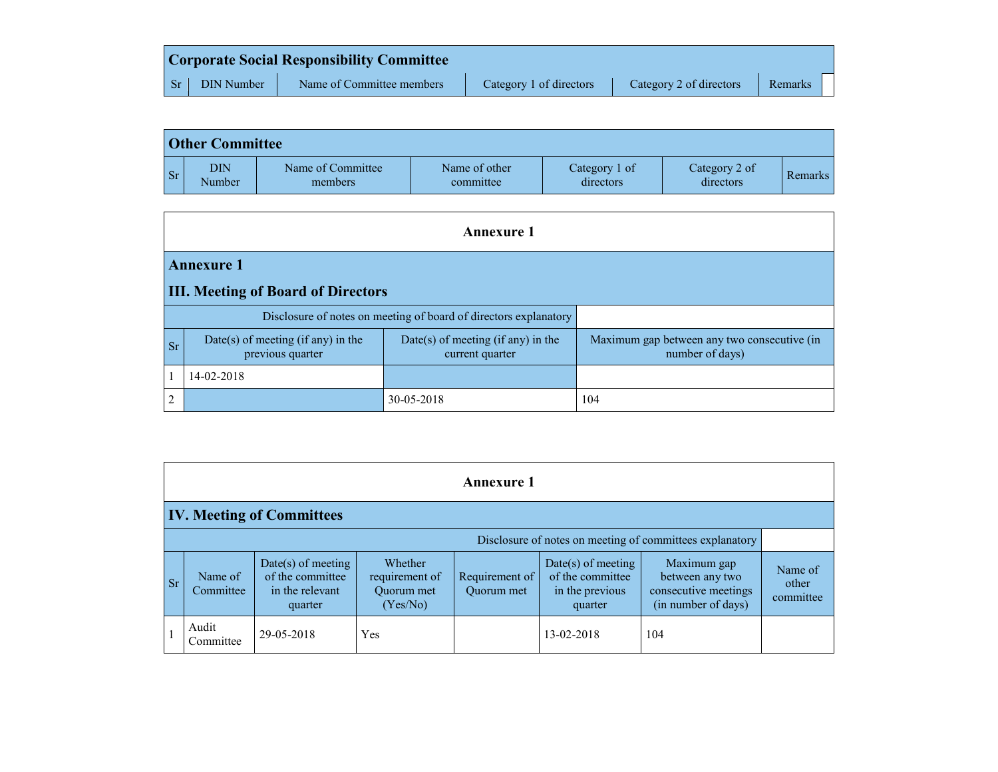|                         |                   | <b>Corporate Social Responsibility Committee</b> |                         |                         |         |  |
|-------------------------|-------------------|--------------------------------------------------|-------------------------|-------------------------|---------|--|
| $\overline{\text{S}}$ r | <b>DIN Number</b> | Name of Committee members                        | Category 1 of directors | Category 2 of directors | Remarks |  |

|           | <b>Other Committee</b> |                              |                            |                            |                            |                |  |  |  |  |
|-----------|------------------------|------------------------------|----------------------------|----------------------------|----------------------------|----------------|--|--|--|--|
| <b>Sr</b> | DIN<br>Number          | Name of Committee<br>members | Name of other<br>committee | Category 1 of<br>directors | Category 2 of<br>directors | <b>Remarks</b> |  |  |  |  |

|                |                                                                  | <b>Annexure 1</b>                                     |                                                                |  |  |  |  |  |  |  |
|----------------|------------------------------------------------------------------|-------------------------------------------------------|----------------------------------------------------------------|--|--|--|--|--|--|--|
|                | <b>Annexure 1</b>                                                |                                                       |                                                                |  |  |  |  |  |  |  |
|                | <b>III. Meeting of Board of Directors</b>                        |                                                       |                                                                |  |  |  |  |  |  |  |
|                | Disclosure of notes on meeting of board of directors explanatory |                                                       |                                                                |  |  |  |  |  |  |  |
| <b>Sr</b>      | Date(s) of meeting (if any) in the<br>previous quarter           | Date(s) of meeting (if any) in the<br>current quarter | Maximum gap between any two consecutive (in<br>number of days) |  |  |  |  |  |  |  |
|                | 14-02-2018                                                       |                                                       |                                                                |  |  |  |  |  |  |  |
| $\overline{2}$ |                                                                  | 30-05-2018                                            | 104                                                            |  |  |  |  |  |  |  |

| <b>Annexure 1</b>                                        |                      |                                                                      |                                                     |                              |                                                                        |                                                                               |                               |  |  |
|----------------------------------------------------------|----------------------|----------------------------------------------------------------------|-----------------------------------------------------|------------------------------|------------------------------------------------------------------------|-------------------------------------------------------------------------------|-------------------------------|--|--|
| <b>IV. Meeting of Committees</b>                         |                      |                                                                      |                                                     |                              |                                                                        |                                                                               |                               |  |  |
| Disclosure of notes on meeting of committees explanatory |                      |                                                                      |                                                     |                              |                                                                        |                                                                               |                               |  |  |
| <b>Sr</b>                                                | Name of<br>Committee | Date(s) of meeting<br>of the committee<br>in the relevant<br>quarter | Whether<br>requirement of<br>Ouorum met<br>(Yes/No) | Requirement of<br>Ouorum met | $Date(s)$ of meeting<br>of the committee<br>in the previous<br>quarter | Maximum gap<br>between any two<br>consecutive meetings<br>(in number of days) | Name of<br>other<br>committee |  |  |
|                                                          | Audit<br>Committee   | 29-05-2018                                                           | Yes                                                 |                              | 13-02-2018                                                             | 104                                                                           |                               |  |  |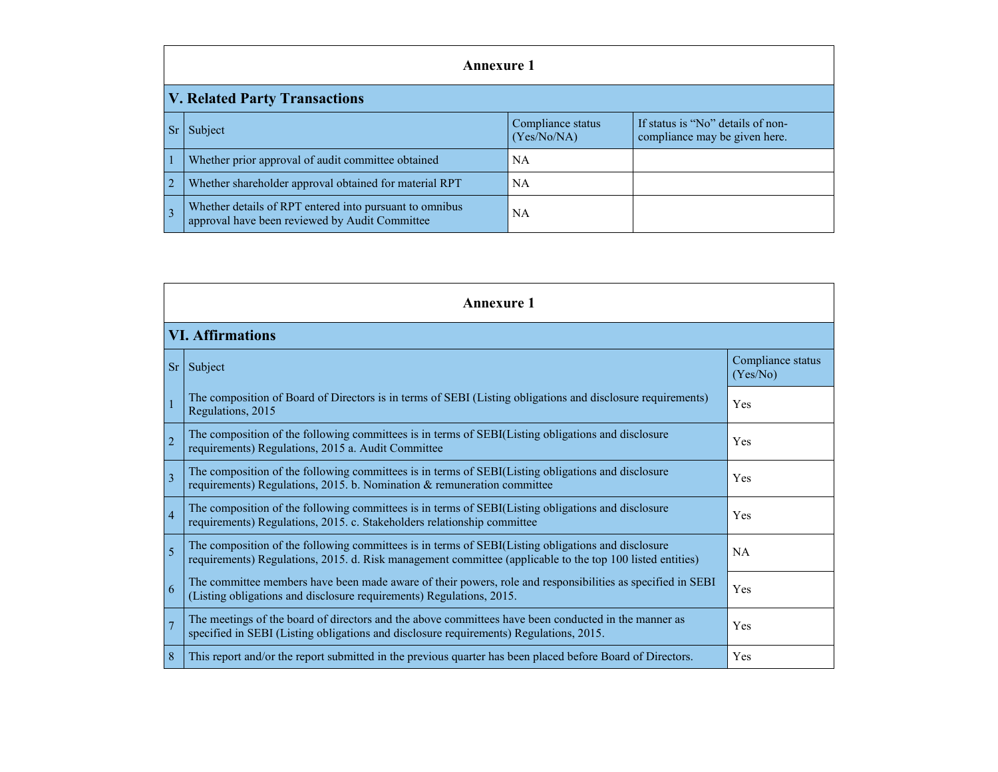|                                      | Annexure 1                                                                                                |                                  |                                                                    |  |  |  |
|--------------------------------------|-----------------------------------------------------------------------------------------------------------|----------------------------------|--------------------------------------------------------------------|--|--|--|
| <b>V. Related Party Transactions</b> |                                                                                                           |                                  |                                                                    |  |  |  |
|                                      | Subject                                                                                                   | Compliance status<br>(Yes/No/NA) | If status is "No" details of non-<br>compliance may be given here. |  |  |  |
|                                      | Whether prior approval of audit committee obtained                                                        | NA                               |                                                                    |  |  |  |
| $\overline{2}$                       | Whether shareholder approval obtained for material RPT                                                    | <b>NA</b>                        |                                                                    |  |  |  |
|                                      | Whether details of RPT entered into pursuant to omnibus<br>approval have been reviewed by Audit Committee | NA                               |                                                                    |  |  |  |

| <b>Annexure 1</b>       |                                                                                                                                                                                                                 |                               |  |  |  |
|-------------------------|-----------------------------------------------------------------------------------------------------------------------------------------------------------------------------------------------------------------|-------------------------------|--|--|--|
| <b>VI. Affirmations</b> |                                                                                                                                                                                                                 |                               |  |  |  |
| <b>Sr</b>               | Subject                                                                                                                                                                                                         | Compliance status<br>(Yes/No) |  |  |  |
|                         | The composition of Board of Directors is in terms of SEBI (Listing obligations and disclosure requirements)<br>Regulations, 2015                                                                                | Yes                           |  |  |  |
| $\overline{2}$          | The composition of the following committees is in terms of SEBI(Listing obligations and disclosure<br>requirements) Regulations, 2015 a. Audit Committee                                                        | Yes                           |  |  |  |
| $\overline{3}$          | The composition of the following committees is in terms of SEBI(Listing obligations and disclosure<br>requirements) Regulations, 2015. b. Nomination & remuneration committee                                   | Yes                           |  |  |  |
| $\overline{4}$          | The composition of the following committees is in terms of SEBI(Listing obligations and disclosure<br>requirements) Regulations, 2015. c. Stakeholders relationship committee                                   | Yes                           |  |  |  |
| 5                       | The composition of the following committees is in terms of SEBI(Listing obligations and disclosure<br>requirements) Regulations, 2015. d. Risk management committee (applicable to the top 100 listed entities) | NA                            |  |  |  |
| 6                       | The committee members have been made aware of their powers, role and responsibilities as specified in SEBI<br>(Listing obligations and disclosure requirements) Regulations, 2015.                              | Yes                           |  |  |  |
|                         | The meetings of the board of directors and the above committees have been conducted in the manner as<br>specified in SEBI (Listing obligations and disclosure requirements) Regulations, 2015.                  |                               |  |  |  |
| 8                       | This report and/or the report submitted in the previous quarter has been placed before Board of Directors.                                                                                                      | Yes                           |  |  |  |